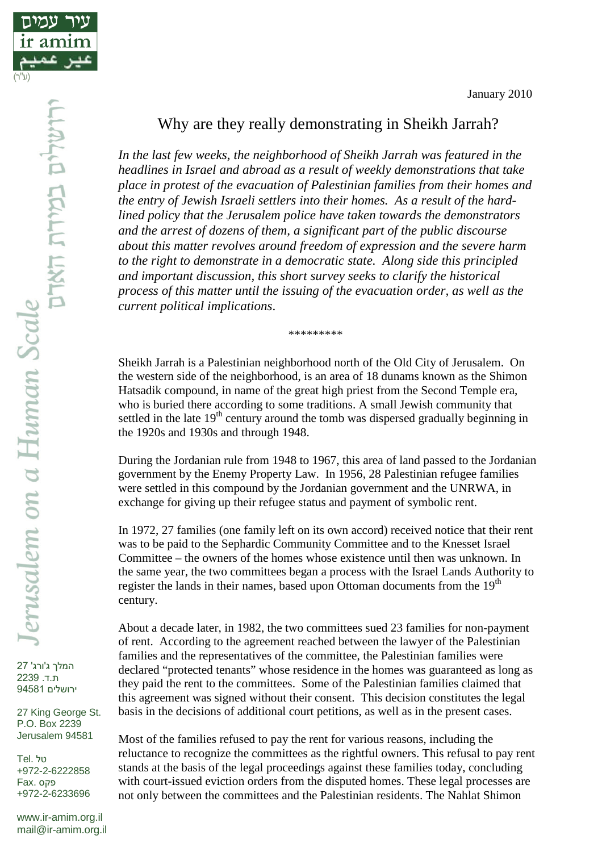

## Why are they really demonstrating in Sheikh Jarrah?

*In the last few weeks, the neighborhood of Sheikh Jarrah was featured in the headlines in Israel and abroad as a result of weekly demonstrations that take place in protest of the evacuation of Palestinian families from their homes and the entry of Jewish Israeli settlers into their homes. As a result of the hardlined policy that the Jerusalem police have taken towards the demonstrators and the arrest of dozens of them, a significant part of the public discourse about this matter revolves around freedom of expression and the severe harm to the right to demonstrate in a democratic state. Along side this principled and important discussion, this short survey seeks to clarify the historical process of this matter until the issuing of the evacuation order, as well as the current political implications*.

\*\*\*\*\*\*\*\*\*

Sheikh Jarrah is a Palestinian neighborhood north of the Old City of Jerusalem. On the western side of the neighborhood, is an area of 18 dunams known as the Shimon Hatsadik compound, in name of the great high priest from the Second Temple era, who is buried there according to some traditions. A small Jewish community that settled in the late  $19<sup>th</sup>$  century around the tomb was dispersed gradually beginning in the 1920s and 1930s and through 1948.

During the Jordanian rule from 1948 to 1967, this area of land passed to the Jordanian government by the Enemy Property Law. In 1956, 28 Palestinian refugee families were settled in this compound by the Jordanian government and the UNRWA, in exchange for giving up their refugee status and payment of symbolic rent.

In 1972, 27 families (one family left on its own accord) received notice that their rent was to be paid to the Sephardic Community Committee and to the Knesset Israel Committee – the owners of the homes whose existence until then was unknown. In the same year, the two committees began a process with the Israel Lands Authority to register the lands in their names, based upon Ottoman documents from the 19<sup>th</sup> century.

About a decade later, in 1982, the two committees sued 23 families for non-payment of rent. According to the agreement reached between the lawyer of the Palestinian families and the representatives of the committee, the Palestinian families were declared "protected tenants" whose residence in the homes was guaranteed as long as they paid the rent to the committees. Some of the Palestinian families claimed that this agreement was signed without their consent. This decision constitutes the legal basis in the decisions of additional court petitions, as well as in the present cases.

Most of the families refused to pay the rent for various reasons, including the reluctance to recognize the committees as the rightful owners. This refusal to pay rent stands at the basis of the legal proceedings against these families today, concluding with court-issued eviction orders from the disputed homes. These legal processes are not only between the committees and the Palestinian residents. The Nahlat Shimon

המלך ג'ורג' 27 ת.ד. 2239 ירושלים 94581

27 King George St. P.O. Box 2239 Jerusalem 94581

טל .Tel +972-2-6222858 פקס .Fax +972-2-6233696

www.ir-amim.org.il mail@ir-amim.org.il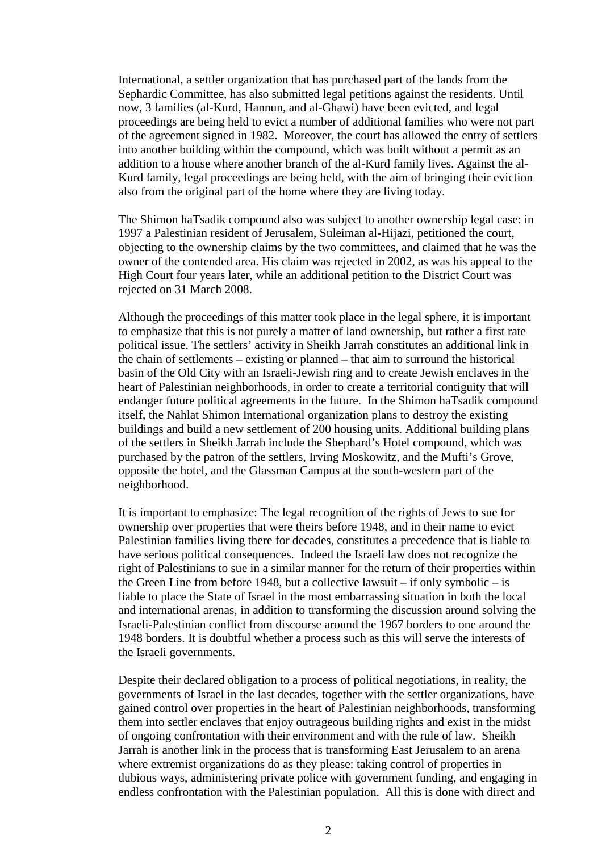International, a settler organization that has purchased part of the lands from the Sephardic Committee, has also submitted legal petitions against the residents. Until now, 3 families (al-Kurd, Hannun, and al-Ghawi) have been evicted, and legal proceedings are being held to evict a number of additional families who were not part of the agreement signed in 1982. Moreover, the court has allowed the entry of settlers into another building within the compound, which was built without a permit as an addition to a house where another branch of the al-Kurd family lives. Against the al-Kurd family, legal proceedings are being held, with the aim of bringing their eviction also from the original part of the home where they are living today.

The Shimon haTsadik compound also was subject to another ownership legal case: in 1997 a Palestinian resident of Jerusalem, Suleiman al-Hijazi, petitioned the court, objecting to the ownership claims by the two committees, and claimed that he was the owner of the contended area. His claim was rejected in 2002, as was his appeal to the High Court four years later, while an additional petition to the District Court was rejected on 31 March 2008.

Although the proceedings of this matter took place in the legal sphere, it is important to emphasize that this is not purely a matter of land ownership, but rather a first rate political issue. The settlers' activity in Sheikh Jarrah constitutes an additional link in the chain of settlements – existing or planned – that aim to surround the historical basin of the Old City with an Israeli-Jewish ring and to create Jewish enclaves in the heart of Palestinian neighborhoods, in order to create a territorial contiguity that will endanger future political agreements in the future. In the Shimon haTsadik compound itself, the Nahlat Shimon International organization plans to destroy the existing buildings and build a new settlement of 200 housing units. Additional building plans of the settlers in Sheikh Jarrah include the Shephard's Hotel compound, which was purchased by the patron of the settlers, Irving Moskowitz, and the Mufti's Grove, opposite the hotel, and the Glassman Campus at the south-western part of the neighborhood.

It is important to emphasize: The legal recognition of the rights of Jews to sue for ownership over properties that were theirs before 1948, and in their name to evict Palestinian families living there for decades, constitutes a precedence that is liable to have serious political consequences. Indeed the Israeli law does not recognize the right of Palestinians to sue in a similar manner for the return of their properties within the Green Line from before 1948, but a collective lawsuit – if only symbolic – is liable to place the State of Israel in the most embarrassing situation in both the local and international arenas, in addition to transforming the discussion around solving the Israeli-Palestinian conflict from discourse around the 1967 borders to one around the 1948 borders. It is doubtful whether a process such as this will serve the interests of the Israeli governments.

Despite their declared obligation to a process of political negotiations, in reality, the governments of Israel in the last decades, together with the settler organizations, have gained control over properties in the heart of Palestinian neighborhoods, transforming them into settler enclaves that enjoy outrageous building rights and exist in the midst of ongoing confrontation with their environment and with the rule of law. Sheikh Jarrah is another link in the process that is transforming East Jerusalem to an arena where extremist organizations do as they please: taking control of properties in dubious ways, administering private police with government funding, and engaging in endless confrontation with the Palestinian population. All this is done with direct and